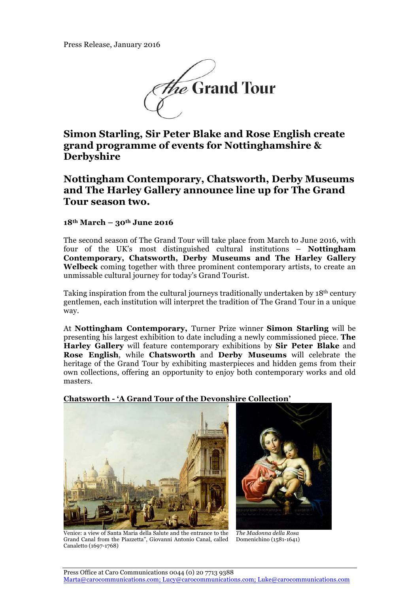

**Simon Starling, Sir Peter Blake and Rose English create grand programme of events for Nottinghamshire & Derbyshire**

# **Nottingham Contemporary, Chatsworth, Derby Museums and The Harley Gallery announce line up for The Grand Tour season two.**

## **18th March – 30th June 2016**

The second season of The Grand Tour will take place from March to June 2016, with four of the UK's most distinguished cultural institutions – **Nottingham Contemporary, Chatsworth, Derby Museums and The Harley Gallery Welbeck** coming together with three prominent contemporary artists, to create an unmissable cultural journey for today's Grand Tourist.

Taking inspiration from the cultural journeys traditionally undertaken by  $18<sup>th</sup>$  century gentlemen, each institution will interpret the tradition of The Grand Tour in a unique way.

At **Nottingham Contemporary,** Turner Prize winner **Simon Starling** will be presenting his largest exhibition to date including a newly commissioned piece. **The Harley Gallery** will feature contemporary exhibitions by **Sir Peter Blake** and **Rose English**, while **Chatsworth** and **Derby Museums** will celebrate the heritage of the Grand Tour by exhibiting masterpieces and hidden gems from their own collections, offering an opportunity to enjoy both contemporary works and old masters.

## **Chatsworth - 'A Grand Tour of the Devonshire Collection'**





Venice: a view of Santa Maria della Salute and the entrance to the Grand Canal from the Piazzetta", Giovanni Antonio Canal, called Canaletto (1697-1768)

*The Madonna della Rosa* Domenichino (1581-1641)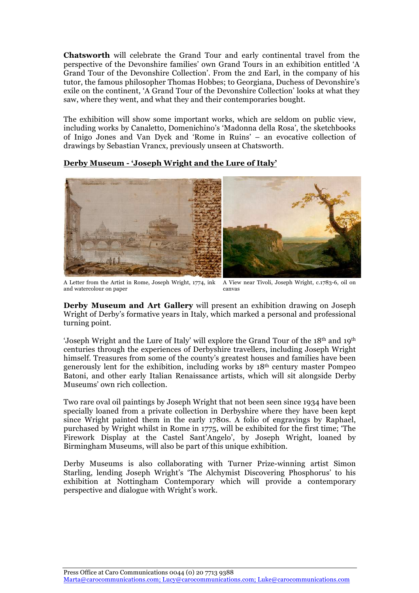**Chatsworth** will celebrate the Grand Tour and early continental travel from the perspective of the Devonshire families' own Grand Tours in an exhibition entitled 'A Grand Tour of the Devonshire Collection'. From the 2nd Earl, in the company of his tutor, the famous philosopher Thomas Hobbes; to Georgiana, Duchess of Devonshire's exile on the continent, 'A Grand Tour of the Devonshire Collection' looks at what they saw, where they went, and what they and their contemporaries bought.

The exhibition will show some important works, which are seldom on public view, including works by Canaletto, Domenichino's 'Madonna della Rosa', the sketchbooks of Inigo Jones and Van Dyck and 'Rome in Ruins' – an evocative collection of drawings by Sebastian Vrancx, previously unseen at Chatsworth.

## **Derby Museum - 'Joseph Wright and the Lure of Italy'**



A Letter from the Artist in Rome, Joseph Wright, 1774, ink and watercolour on paper A View near Tivoli, Joseph Wright, c.1783-6, oil on canvas

**Derby Museum and Art Gallery** will present an exhibition drawing on Joseph Wright of Derby's formative years in Italy, which marked a personal and professional turning point.

'Joseph Wright and the Lure of Italy' will explore the Grand Tour of the 18th and 19th centuries through the experiences of Derbyshire travellers, including Joseph Wright himself. Treasures from some of the county's greatest houses and families have been generously lent for the exhibition, including works by 18th century master Pompeo Batoni, and other early Italian Renaissance artists, which will sit alongside Derby Museums' own rich collection.

Two rare oval oil paintings by Joseph Wright that not been seen since 1934 have been specially loaned from a private collection in Derbyshire where they have been kept since Wright painted them in the early 1780s. A folio of engravings by Raphael, purchased by Wright whilst in Rome in 1775, will be exhibited for the first time; 'The Firework Display at the Castel Sant'Angelo', by Joseph Wright, loaned by Birmingham Museums, will also be part of this unique exhibition.

Derby Museums is also collaborating with Turner Prize-winning artist Simon Starling, lending Joseph Wright's 'The Alchymist Discovering Phosphorus' to his exhibition at Nottingham Contemporary which will provide a contemporary perspective and dialogue with Wright's work.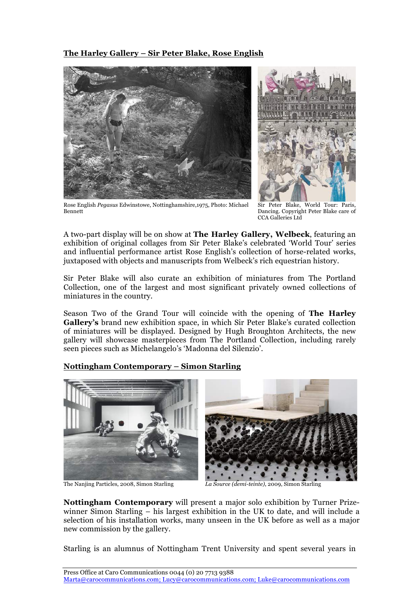## **The Harley Gallery – Sir Peter Blake, Rose English**



Rose English *Pegasus* Edwinstowe, Nottinghamshire,1975, Photo: Michael Bennett

Sir Peter Blake, World Tour: Paris, Dancing. Copyright Peter Blake care of CCA Galleries Ltd

A two-part display will be on show at **The Harley Gallery, Welbeck**, featuring an exhibition of original collages from Sir Peter Blake's celebrated 'World Tour' series and influential performance artist Rose English's collection of horse-related works, juxtaposed with objects and manuscripts from Welbeck's rich equestrian history.

Sir Peter Blake will also curate an exhibition of miniatures from The Portland Collection, one of the largest and most significant privately owned collections of miniatures in the country.

Season Two of the Grand Tour will coincide with the opening of **The Harley Gallery's** brand new exhibition space, in which Sir Peter Blake's curated collection of miniatures will be displayed. Designed by Hugh Broughton Architects, the new gallery will showcase masterpieces from The Portland Collection, including rarely seen pieces such as Michelangelo's 'Madonna del Silenzio'.

## **Nottingham Contemporary – Simon Starling**



The Nanjing Particles, 2008, Simon Starling *La Source (demi-teinte)*, 2009, Simon Starling

**Nottingham Contemporary** will present a major solo exhibition by Turner Prizewinner Simon Starling – his largest exhibition in the UK to date, and will include a selection of his installation works, many unseen in the UK before as well as a major new commission by the gallery.

Starling is an alumnus of Nottingham Trent University and spent several years in

Press Office at Caro Communications 0044 (0) 20 7713 9388 Marta@carocommunications.com; Lucy@carocommunications.com; Luke@carocommunications.com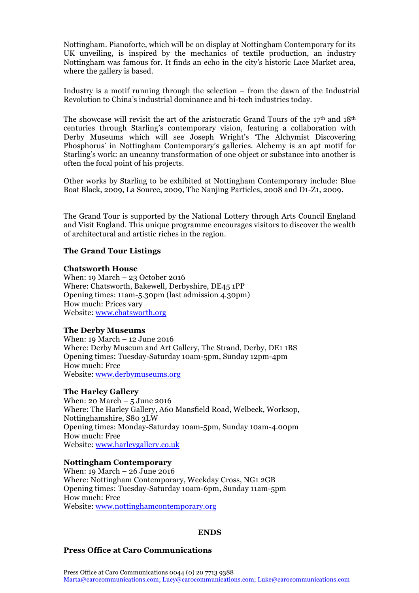Nottingham. Pianoforte, which will be on display at Nottingham Contemporary for its UK unveiling, is inspired by the mechanics of textile production, an industry Nottingham was famous for. It finds an echo in the city's historic Lace Market area, where the gallery is based.

Industry is a motif running through the selection – from the dawn of the Industrial Revolution to China's industrial dominance and hi-tech industries today.

The showcase will revisit the art of the aristocratic Grand Tours of the  $17<sup>th</sup>$  and  $18<sup>th</sup>$ centuries through Starling's contemporary vision, featuring a collaboration with Derby Museums which will see Joseph Wright's 'The Alchymist Discovering Phosphorus' in Nottingham Contemporary's galleries. Alchemy is an apt motif for Starling's work: an uncanny transformation of one object or substance into another is often the focal point of his projects.

Other works by Starling to be exhibited at Nottingham Contemporary include: Blue Boat Black, 2009, La Source, 2009, The Nanjing Particles, 2008 and D1-Z1, 2009.

The Grand Tour is supported by the National Lottery through Arts Council England and Visit England. This unique programme encourages visitors to discover the wealth of architectural and artistic riches in the region.

## **The Grand Tour Listings**

### **Chatsworth House**

When: 19 March – 23 October 2016 Where: Chatsworth, Bakewell, Derbyshire, DE45 1PP Opening times: 11am-5.30pm (last admission 4.30pm) How much: Prices vary Website: www.chatsworth.org

### **The Derby Museums**

When: 19 March – 12 June 2016 Where: Derby Museum and Art Gallery, The Strand, Derby, DE1 1BS Opening times: Tuesday-Saturday 10am-5pm, Sunday 12pm-4pm How much: Free Website: www.derbymuseums.org

## **The Harley Gallery**

When: 20 March  $-5$  June 2016 Where: The Harley Gallery, A60 Mansfield Road, Welbeck, Worksop, Nottinghamshire, S80 3LW Opening times: Monday-Saturday 10am-5pm, Sunday 10am-4.00pm How much: Free Website: www.harleygallery.co.uk

### **Nottingham Contemporary**

When: 19 March – 26 June 2016 Where: Nottingham Contemporary, Weekday Cross, NG1 2GB Opening times: Tuesday-Saturday 10am-6pm, Sunday 11am-5pm How much: Free Website: www.nottinghamcontemporary.org

### **ENDS**

## **Press Office at Caro Communications**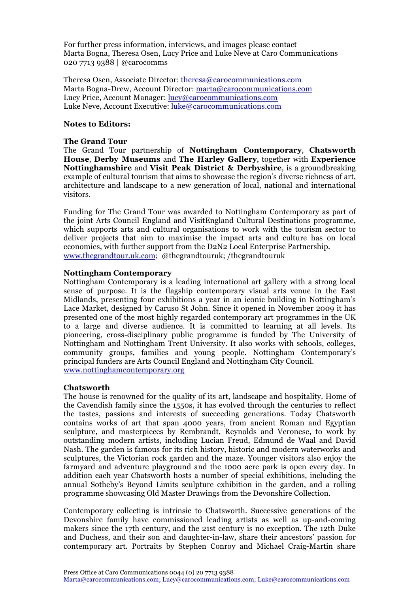For further press information, interviews, and images please contact Marta Bogna, Theresa Osen, Lucy Price and Luke Neve at Caro Communications 020 7713 9388 | @carocomms

Theresa Osen, Associate Director: theresa@carocommunications.com Marta Bogna-Drew, Account Director: marta@carocommunications.com Lucy Price, Account Manager: lucy@carocommunications.com Luke Neve, Account Executive: luke@carocommunications.com

### **Notes to Editors:**

#### **The Grand Tour**

The Grand Tour partnership of **Nottingham Contemporary**, **Chatsworth House**, **Derby Museums** and **The Harley Gallery**, together with **Experience Nottinghamshire** and **Visit Peak District & Derbyshire**, is a groundbreaking example of cultural tourism that aims to showcase the region's diverse richness of art, architecture and landscape to a new generation of local, national and international visitors.

Funding for The Grand Tour was awarded to Nottingham Contemporary as part of the joint Arts Council England and VisitEngland Cultural Destinations programme, which supports arts and cultural organisations to work with the tourism sector to deliver projects that aim to maximise the impact arts and culture has on local economies, with further support from the D2N2 Local Enterprise Partnership. www.thegrandtour.uk.com; @thegrandtouruk; /thegrandtouruk

### **Nottingham Contemporary**

Nottingham Contemporary is a leading international art gallery with a strong local sense of purpose. It is the flagship contemporary visual arts venue in the East Midlands, presenting four exhibitions a year in an iconic building in Nottingham's Lace Market, designed by Caruso St John. Since it opened in November 2009 it has presented one of the most highly regarded contemporary art programmes in the UK to a large and diverse audience. It is committed to learning at all levels. Its pioneering, cross-disciplinary public programme is funded by The University of Nottingham and Nottingham Trent University. It also works with schools, colleges, community groups, families and young people. Nottingham Contemporary's principal funders are Arts Council England and Nottingham City Council. www.nottinghamcontemporary.org

#### **Chatsworth**

The house is renowned for the quality of its art, landscape and hospitality. Home of the Cavendish family since the 1550s, it has evolved through the centuries to reflect the tastes, passions and interests of succeeding generations. Today Chatsworth contains works of art that span 4000 years, from ancient Roman and Egyptian sculpture, and masterpieces by Rembrandt, Reynolds and Veronese, to work by outstanding modern artists, including Lucian Freud, Edmund de Waal and David Nash. The garden is famous for its rich history, historic and modern waterworks and sculptures, the Victorian rock garden and the maze. Younger visitors also enjoy the farmyard and adventure playground and the 1000 acre park is open every day. In addition each year Chatsworth hosts a number of special exhibitions, including the annual Sotheby's Beyond Limits sculpture exhibition in the garden, and a rolling programme showcasing Old Master Drawings from the Devonshire Collection.

Contemporary collecting is intrinsic to Chatsworth. Successive generations of the Devonshire family have commissioned leading artists as well as up-and-coming makers since the 17th century, and the 21st century is no exception. The 12th Duke and Duchess, and their son and daughter-in-law, share their ancestors' passion for contemporary art. Portraits by Stephen Conroy and Michael Craig-Martin share

Press Office at Caro Communications 0044 (0) 20 7713 9388 Marta@carocommunications.com; Lucy@carocommunications.com; Luke@carocommunications.com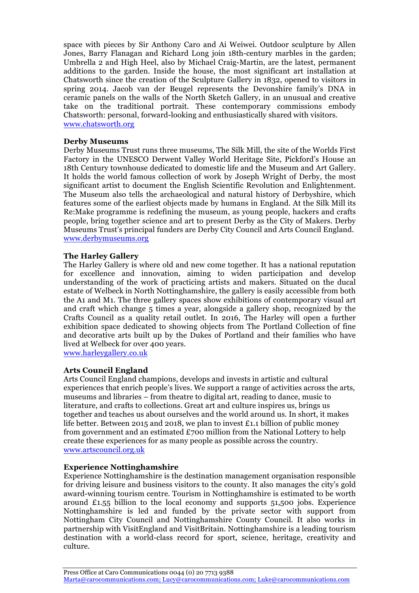space with pieces by Sir Anthony Caro and Ai Weiwei. Outdoor sculpture by Allen Jones, Barry Flanagan and Richard Long join 18th-century marbles in the garden; Umbrella 2 and High Heel, also by Michael Craig-Martin, are the latest, permanent additions to the garden. Inside the house, the most significant art installation at Chatsworth since the creation of the Sculpture Gallery in 1832, opened to visitors in spring 2014. Jacob van der Beugel represents the Devonshire family's DNA in ceramic panels on the walls of the North Sketch Gallery, in an unusual and creative take on the traditional portrait. These contemporary commissions embody Chatsworth: personal, forward-looking and enthusiastically shared with visitors. www.chatsworth.org

### **Derby Museums**

Derby Museums Trust runs three museums, The Silk Mill, the site of the Worlds First Factory in the UNESCO Derwent Valley World Heritage Site, Pickford's House an 18th Century townhouse dedicated to domestic life and the Museum and Art Gallery. It holds the world famous collection of work by Joseph Wright of Derby, the most significant artist to document the English Scientific Revolution and Enlightenment. The Museum also tells the archaeological and natural history of Derbyshire, which features some of the earliest objects made by humans in England. At the Silk Mill its Re:Make programme is redefining the museum, as young people, hackers and crafts people, bring together science and art to present Derby as the City of Makers. Derby Museums Trust's principal funders are Derby City Council and Arts Council England. www.derbymuseums.org

## **The Harley Gallery**

The Harley Gallery is where old and new come together. It has a national reputation for excellence and innovation, aiming to widen participation and develop understanding of the work of practicing artists and makers. Situated on the ducal estate of Welbeck in North Nottinghamshire, the gallery is easily accessible from both the A1 and M1. The three gallery spaces show exhibitions of contemporary visual art and craft which change 5 times a year, alongside a gallery shop, recognized by the Crafts Council as a quality retail outlet. In 2016, The Harley will open a further exhibition space dedicated to showing objects from The Portland Collection of fine and decorative arts built up by the Dukes of Portland and their families who have lived at Welbeck for over 400 years.

www.harleygallery.co.uk

## **Arts Council England**

Arts Council England champions, develops and invests in artistic and cultural experiences that enrich people's lives. We support a range of activities across the arts, museums and libraries – from theatre to digital art, reading to dance, music to literature, and crafts to collections. Great art and culture inspires us, brings us together and teaches us about ourselves and the world around us. In short, it makes life better. Between 2015 and 2018, we plan to invest £1.1 billion of public money from government and an estimated £700 million from the National Lottery to help create these experiences for as many people as possible across the country. www.artscouncil.org.uk

### **Experience Nottinghamshire**

Experience Nottinghamshire is the destination management organisation responsible for driving leisure and business visitors to the county. It also manages the city's gold award-winning tourism centre. Tourism in Nottinghamshire is estimated to be worth around £1.55 billion to the local economy and supports 51,500 jobs. Experience Nottinghamshire is led and funded by the private sector with support from Nottingham City Council and Nottinghamshire County Council. It also works in partnership with VisitEngland and VisitBritain. Nottinghamshire is a leading tourism destination with a world-class record for sport, science, heritage, creativity and culture.